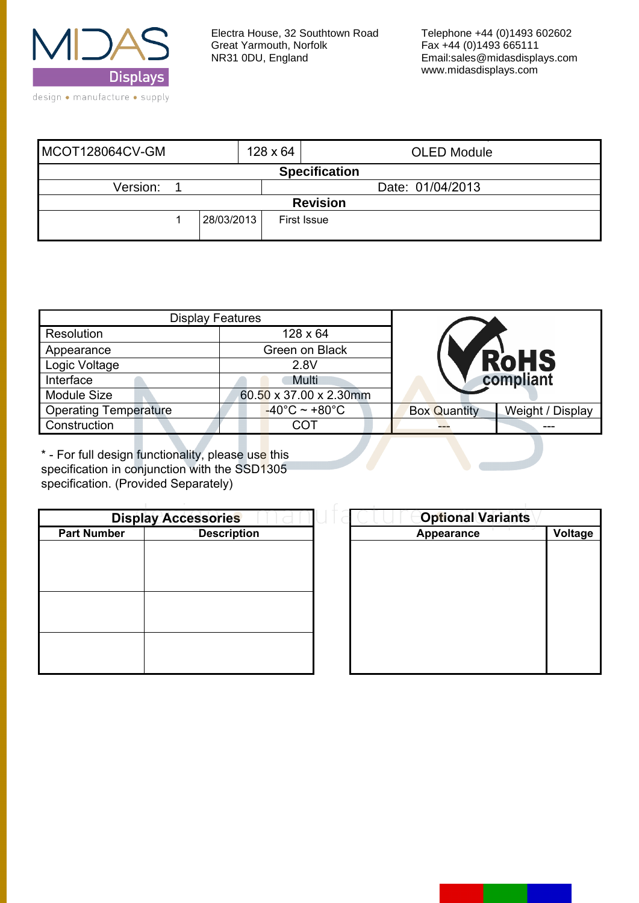

| MCOT128064CV-GM      |            | $128 \times 64$  | <b>OLED Module</b> |  |  |  |
|----------------------|------------|------------------|--------------------|--|--|--|
| <b>Specification</b> |            |                  |                    |  |  |  |
| Version:             |            | Date: 01/04/2013 |                    |  |  |  |
| <b>Revision</b>      |            |                  |                    |  |  |  |
|                      | 28/03/2013 |                  | <b>First Issue</b> |  |  |  |

| <b>Display Features</b>      |                                    |                     |                  |  |
|------------------------------|------------------------------------|---------------------|------------------|--|
| Resolution                   | $128 \times 64$                    |                     |                  |  |
| Appearance                   | Green on Black                     |                     |                  |  |
| Logic Voltage                | 2.8V                               |                     | <b>RoHS</b>      |  |
| Interface                    | Multi                              | compliant           |                  |  |
| <b>Module Size</b>           | 60.50 x 37.00 x 2.30mm             |                     |                  |  |
| <b>Operating Temperature</b> | $-40^{\circ}$ C ~ +80 $^{\circ}$ C | <b>Box Quantity</b> | Weight / Display |  |
| Construction                 | COT                                |                     |                  |  |

\* - For full design functionality, please use this specification in conjunction with the SSD1305 specification. (Provided Separately)

|                    | <b>Display Accessories</b> | <b>Optional Variants</b> |         |
|--------------------|----------------------------|--------------------------|---------|
| <b>Part Number</b> | <b>Description</b>         | Appearance               | Voltage |
|                    |                            |                          |         |
|                    |                            |                          |         |
|                    |                            |                          |         |
|                    |                            |                          |         |
|                    |                            |                          |         |
|                    |                            |                          |         |
|                    |                            |                          |         |
|                    |                            |                          |         |
|                    |                            |                          |         |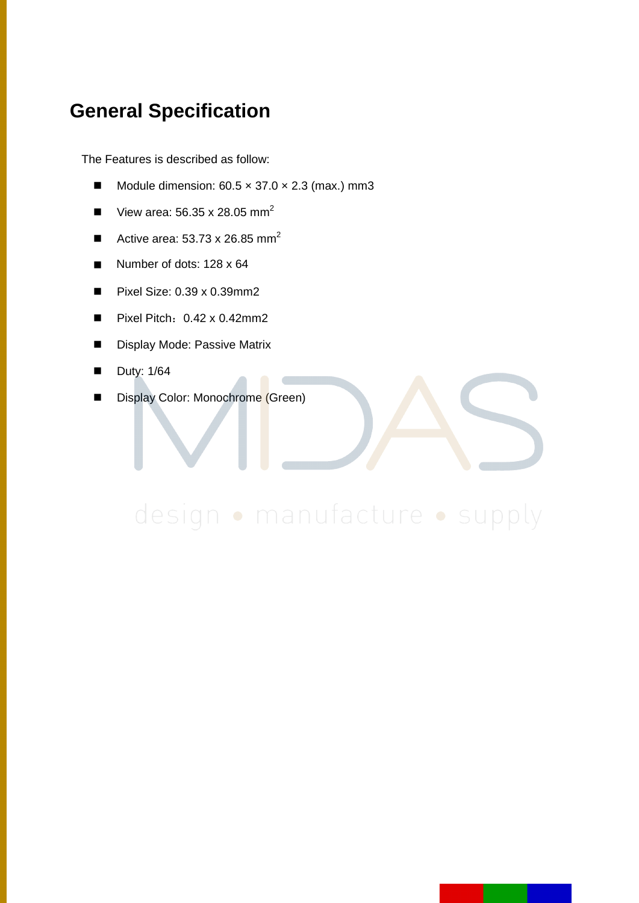### **General Specification**

The Features is described as follow:

- Module dimension:  $60.5 \times 37.0 \times 2.3$  (max.) mm3
- View area:  $56.35 \times 28.05$  mm<sup>2</sup>
- Active area:  $53.73 \times 26.85$  mm<sup>2</sup>
- Number of dots:  $128 \times 64$
- Pixel Size:  $0.39 \times 0.39$  mm2
- Pixel Pitch: 0.42 x 0.42mm2
- **Display Mode: Passive Matrix**
- $\blacksquare$  Duty: 1/64
- Display Color: Monochrome (Green)

# design · manufacture · supply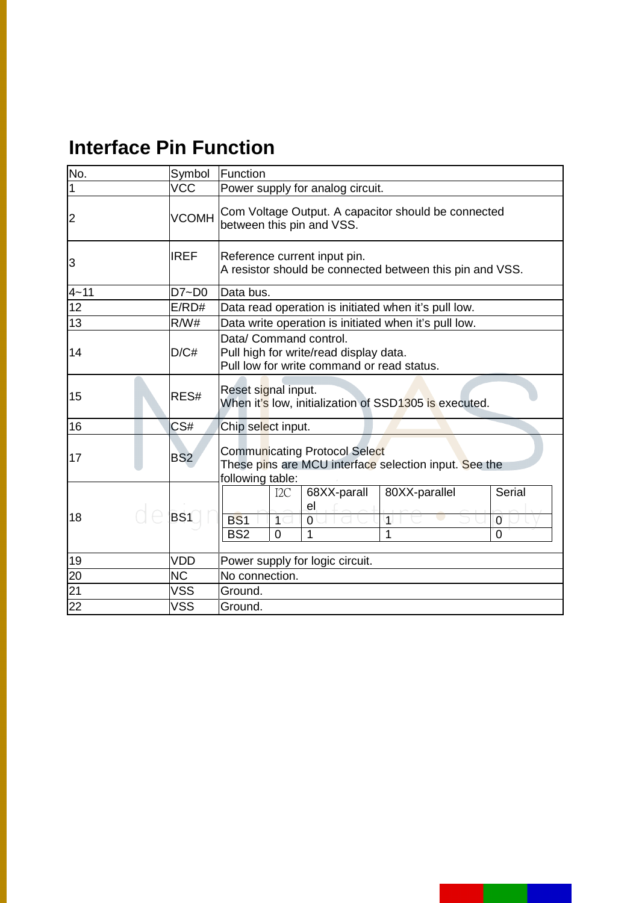## **Interface Pin Function**

| No.             | Symbol          | Function                                                                                                                                                                               |  |  |  |  |
|-----------------|-----------------|----------------------------------------------------------------------------------------------------------------------------------------------------------------------------------------|--|--|--|--|
| 1               | <b>VCC</b>      | Power supply for analog circuit.                                                                                                                                                       |  |  |  |  |
| 2               | <b>VCOMH</b>    | Com Voltage Output. A capacitor should be connected<br>between this pin and VSS.                                                                                                       |  |  |  |  |
| 3               | <b>IREF</b>     | Reference current input pin.<br>A resistor should be connected between this pin and VSS.                                                                                               |  |  |  |  |
| $4 - 11$        | $D7 - D0$       | Data bus.                                                                                                                                                                              |  |  |  |  |
| $\overline{12}$ | E/RD#           | Data read operation is initiated when it's pull low.                                                                                                                                   |  |  |  |  |
| 13              | R/W#            | Data write operation is initiated when it's pull low.                                                                                                                                  |  |  |  |  |
| 14              | D/C#            | Data/ Command control.<br>Pull high for write/read display data.<br>Pull low for write command or read status.                                                                         |  |  |  |  |
| 15              | RES#            | Reset signal input.<br>When it's low, initialization of SSD1305 is executed.                                                                                                           |  |  |  |  |
| 16              | CS#             | Chip select input.                                                                                                                                                                     |  |  |  |  |
| 17              | BS <sub>2</sub> | <b>Communicating Protocol Select</b><br>These pins are MCU interface selection input. See the<br>following table:                                                                      |  |  |  |  |
| 18              | BS1             | 68XX-parall<br>80XX-parallel<br><b>Serial</b><br>I <sub>2C</sub><br>el<br><b>BS1</b><br>$\overline{1}$<br>Ò<br>0<br>1<br>BS <sub>2</sub><br>1<br>1<br>$\overline{0}$<br>$\overline{0}$ |  |  |  |  |
| 19              | VDD             | Power supply for logic circuit.                                                                                                                                                        |  |  |  |  |
| 20              | <b>NC</b>       | No connection.                                                                                                                                                                         |  |  |  |  |
| 21              | <b>VSS</b>      | Ground.                                                                                                                                                                                |  |  |  |  |
| 22              | <b>VSS</b>      | Ground.                                                                                                                                                                                |  |  |  |  |

ı.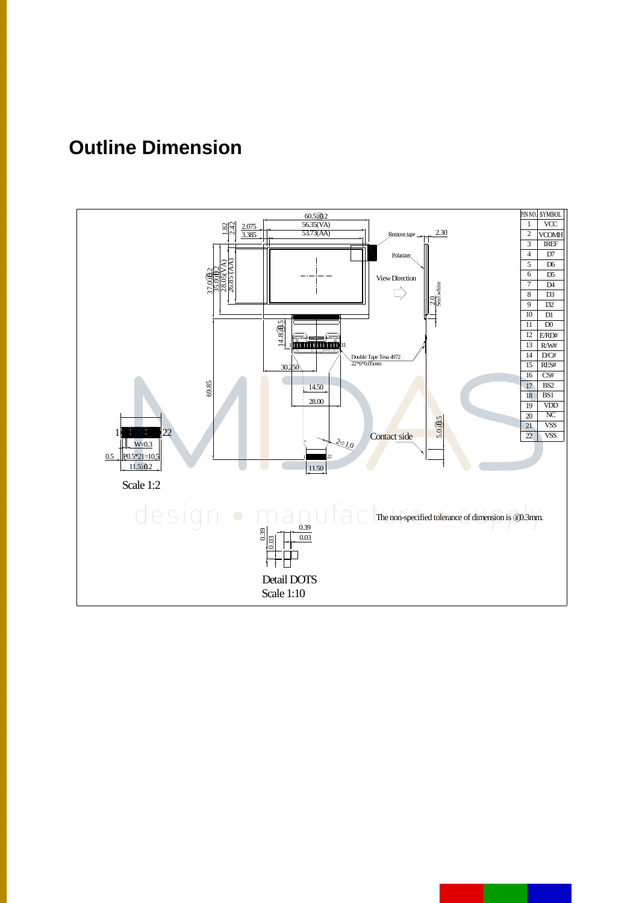## **Outline Dimension**

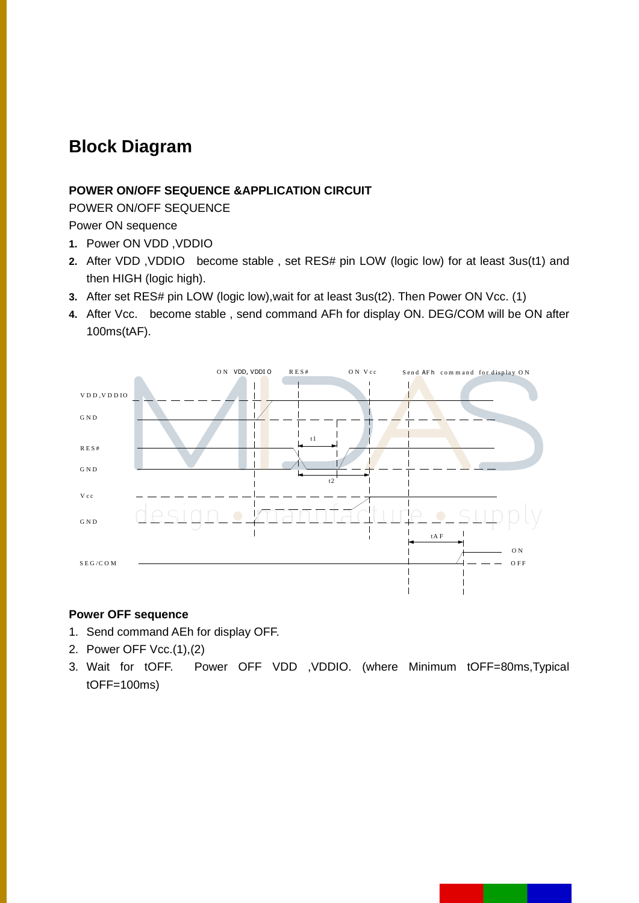### **Block Diagram**

#### **POWER ON/OFF SEQUENCE &APPLICATION CIRCUIT**

POWER ON/OFF SEQUENCE

Power ON sequence

- **1.** Power ON VDD ,VDDIO
- **2.** After VDD ,VDDIO become stable , set RES# pin LOW (logic low) for at least 3us(t1) and then HIGH (logic high).
- **3.** After set RES# pin LOW (logic low),wait for at least 3us(t2). Then Power ON Vcc. (1)
- **4.** After Vcc. become stable , send command AFh for display ON. DEG/COM will be ON after 100ms(tAF).



#### **Power OFF sequence**

- 1. Send command AEh for display OFF.
- 2. Power OFF Vcc.(1),(2)
- 3. Wait for tOFF. Power OFF VDD ,VDDIO. (where Minimum tOFF=80ms,Typical tOFF=100ms)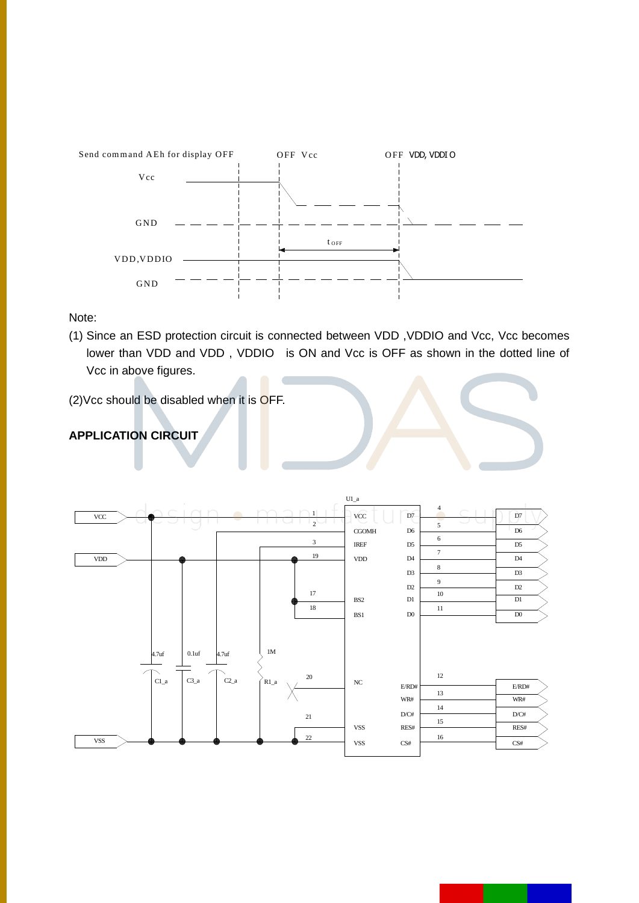

Note:

(1) Since an ESD protection circuit is connected between VDD, VDDIO and Vcc, Vcc becomes lower than VDD and VDD, VDDIO is ON and Vcc is OFF as shown in the dotted line of Vcc in above figures.

(2) Vcc should be disabled when it is OFF.

#### **APPLICATION CIRCUIT**

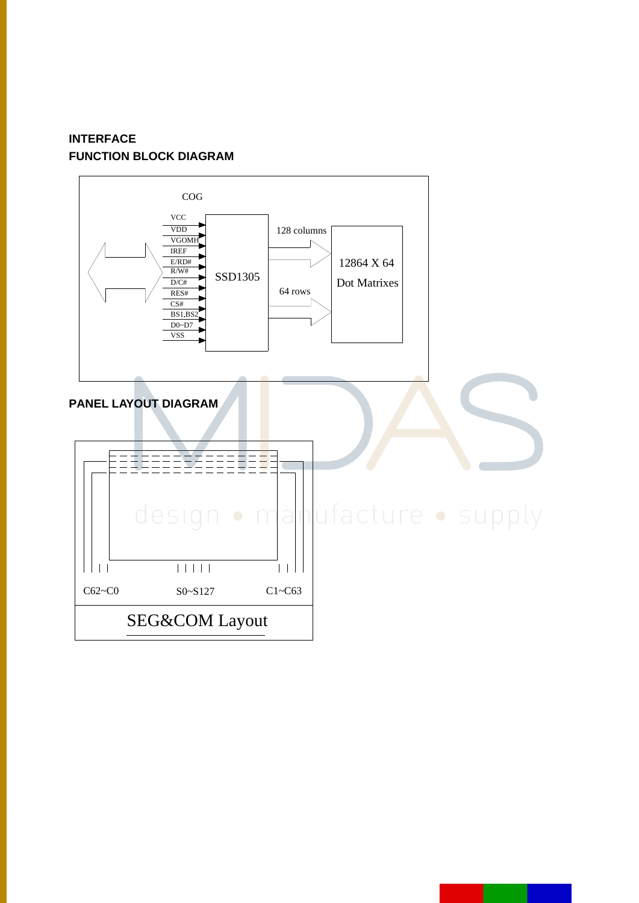#### **INTERFACE FUNCTION BLOCK DIAGRAM**

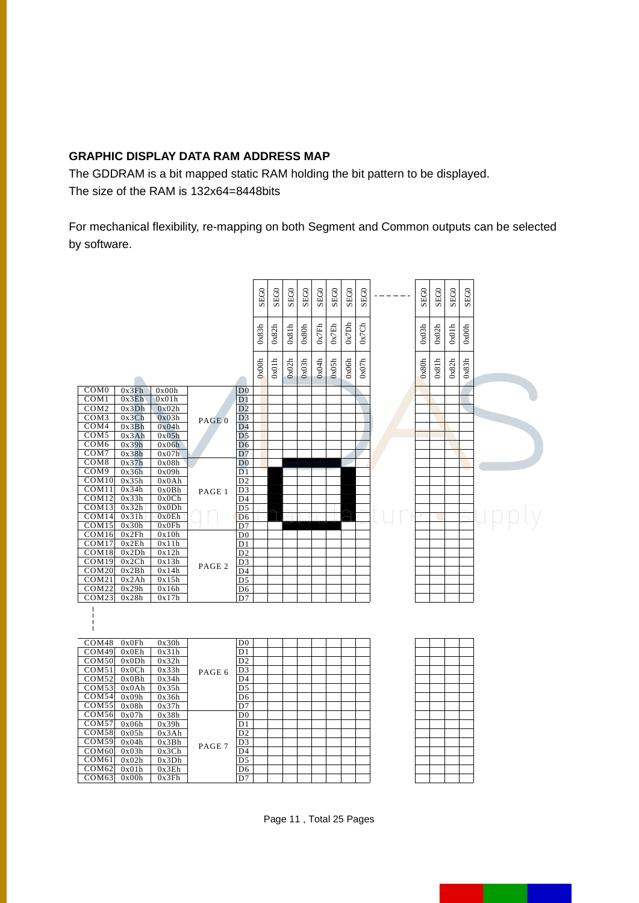#### **GRAPHIC DISPLAY DATA RAM ADDRESS MAP**

The GDDRAM is a bit mapped static RAM holding the bit pattern to be displayed. The size of the RAM is 132x64=8448bits

For mechanical flexibility, re-mapping on both Segment and Common outputs can be selected by software.



Page 11 , Total 25 Pages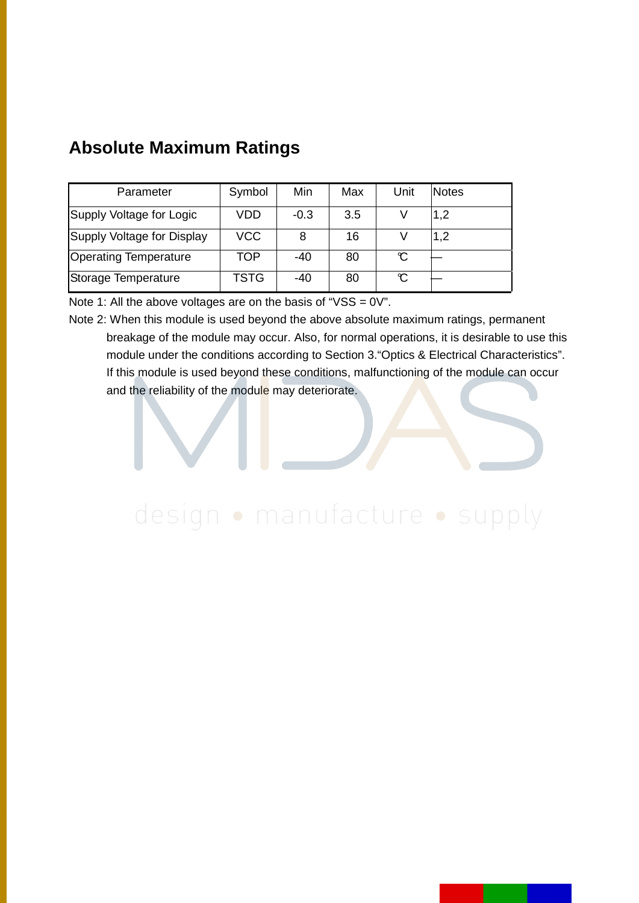| Parameter                    | Symbol     | Min    | Max | Unit | <b>Notes</b> |
|------------------------------|------------|--------|-----|------|--------------|
| Supply Voltage for Logic     | VDD        | $-0.3$ | 3.5 |      | 1,2          |
| Supply Voltage for Display   | <b>VCC</b> | 8      | 16  |      | 1,2          |
| <b>Operating Temperature</b> | TOP        | -40    | 80  | C    |              |
| Storage Temperature          | TSTG       | -40    | 80  | C    |              |

### **Absolute Maximum Ratings**

Note 1: All the above voltages are on the basis of " $VSS = 0V$ ".

Note 2: When this module is used beyond the above absolute maximum ratings, permanent breakage of the module may occur. Also, for normal operations, it is desirable to use this module under the conditions according to Section 3."Optics & Electrical Characteristics". If this module is used beyond these conditions, malfunctioning of the module can occur and the reliability of the module may deteriorate.

# design · manufacture · supply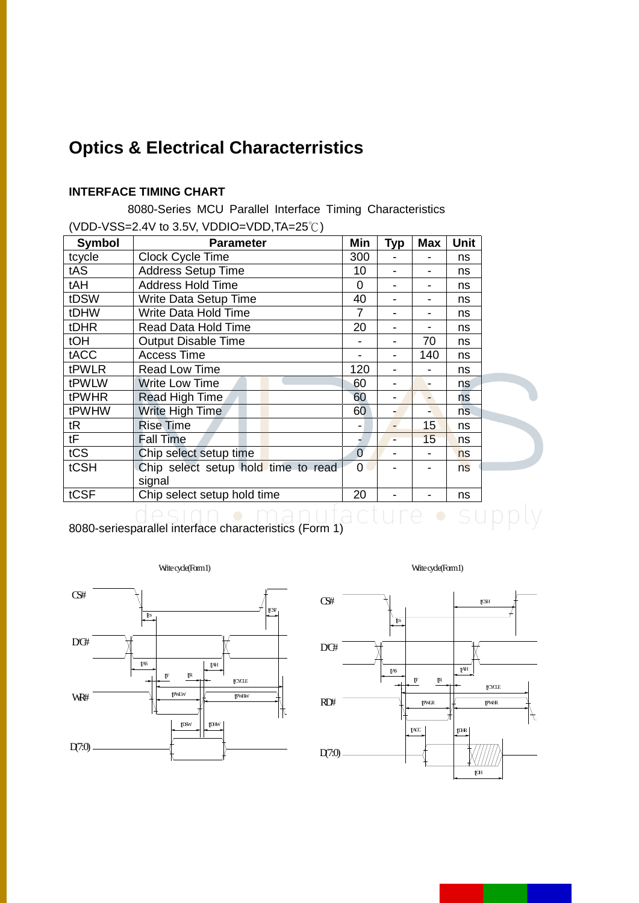### **Optics & Electrical Characterristics**

#### **INTERFACE TIMING CHART**

 8080-Series MCU Parallel Interface Timing Characteristics (VDD-VSS=2.4V to 3.5V, VDDIO=VDD,TA=25℃)

| <b>Symbol</b>               | <b>Parameter</b>                    | Min            | <b>Typ</b> | Max | <b>Unit</b> |  |
|-----------------------------|-------------------------------------|----------------|------------|-----|-------------|--|
| tcycle                      | Clock Cycle Time                    | 300            |            |     | ns          |  |
| tAS                         | <b>Address Setup Time</b>           | 10             |            |     | ns          |  |
| tAH                         | <b>Address Hold Time</b>            | $\overline{0}$ |            |     | ns          |  |
| tDSW                        | Write Data Setup Time               | 40             |            |     | ns          |  |
| tDHW                        | Write Data Hold Time                | 7              |            |     | ns          |  |
| tDHR                        | Read Data Hold Time                 | 20             |            |     | ns          |  |
| tOH                         | <b>Output Disable Time</b>          |                |            | 70  | ns          |  |
| tACC                        | <b>Access Time</b>                  |                |            | 140 | ns          |  |
| tPWLR                       | Read Low Time                       | 120            |            |     | ns          |  |
| tPWLW                       | <b>Write Low Time</b>               | 60             |            |     | ns          |  |
| tPWHR                       | Read High Time                      | 60             |            |     | ns          |  |
| tPWHW                       | Write High Time                     | 60             |            |     | ns.         |  |
| tR                          | <b>Rise Time</b>                    |                |            | 15  | ns          |  |
| tF                          | <b>Fall Time</b>                    |                |            | 15  | ns          |  |
| tCS                         | Chip select setup time              | $\overline{0}$ |            |     | ns.         |  |
| tCSH                        | Chip select setup hold time to read | $\overline{0}$ |            |     | ns          |  |
|                             | signal                              |                |            |     |             |  |
| tCSF                        | Chip select setup hold time         | 20             |            |     | ns          |  |
| $\sim$ $\sim$ $\sim$ $\sim$ |                                     |                |            |     |             |  |

8080-seriesparallel interface characteristics (Form 1)





ply

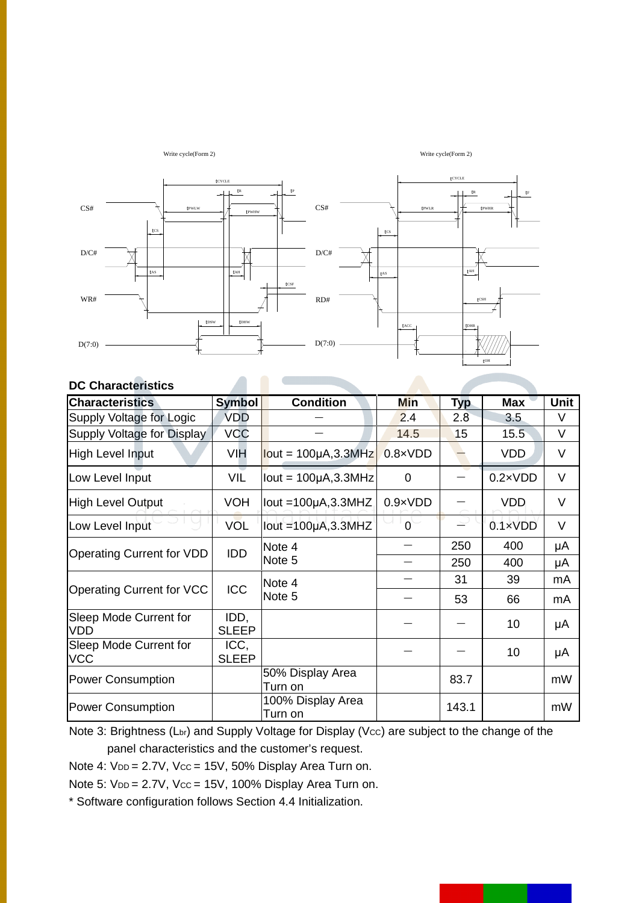

#### **DC Characteristics**

| <b>Characteristics</b>               | <b>Symbol</b>        | <b>Condition</b>                                                                                                                              | Min              | <b>Typ</b> | <b>Max</b>       | Unit   |
|--------------------------------------|----------------------|-----------------------------------------------------------------------------------------------------------------------------------------------|------------------|------------|------------------|--------|
| Supply Voltage for Logic             | <b>VDD</b>           |                                                                                                                                               | 2.4              | 2.8        | 3.5              | V      |
| Supply Voltage for Display           | <b>VCC</b>           |                                                                                                                                               | 14.5             | 15         | 15.5             | $\vee$ |
| <b>High Level Input</b>              | <b>VIH</b>           | $lout = 100 \mu A$ , 3.3MHz                                                                                                                   | $0.8 \times VDD$ |            | <b>VDD</b>       | $\vee$ |
| Low Level Input                      | VIL                  | $lout = 100\mu A$ , 3.3MHz                                                                                                                    | 0                |            | $0.2 \times VDD$ | $\vee$ |
| <b>High Level Output</b>             | <b>VOH</b>           | lout = $100\mu$ A, 3.3MHZ                                                                                                                     | $0.9 \times VDD$ |            | <b>VDD</b>       | $\vee$ |
| Low Level Input                      | <b>VOL</b>           | lout = $100\mu$ A, 3.3MHZ                                                                                                                     | 0                |            | $0.1 \times VDD$ | $\vee$ |
|                                      |                      | Note 4                                                                                                                                        |                  | 250        | 400              | μA     |
| <b>Operating Current for VDD</b>     |                      | Note 5                                                                                                                                        |                  | 250        | 400              | μA     |
|                                      |                      |                                                                                                                                               |                  | 31         | 39               | mA     |
| <b>Operating Current for VCC</b>     |                      | IDD<br>Note 4<br><b>ICC</b><br>Note 5<br>53<br>66<br>10<br>10<br>50% Display Area<br>83.7<br>Turn on<br>100% Display Area<br>143.1<br>Turn on |                  | mA         |                  |        |
| Sleep Mode Current for<br><b>VDD</b> | IDD,<br><b>SLEEP</b> |                                                                                                                                               |                  |            |                  | μA     |
| Sleep Mode Current for<br><b>VCC</b> | ICC,<br><b>SLEEP</b> |                                                                                                                                               |                  |            |                  | μA     |
| <b>Power Consumption</b>             |                      |                                                                                                                                               |                  |            |                  | mW     |
| <b>Power Consumption</b>             |                      |                                                                                                                                               |                  |            |                  | mW     |

Note 3: Brightness (Lbr) and Supply Voltage for Display (Vcc) are subject to the change of the panel characteristics and the customer's request.

Note 4: VDD = 2.7V, Vcc = 15V, 50% Display Area Turn on.

Note 5: V<sub>DD</sub> = 2.7V, Vcc = 15V, 100% Display Area Turn on.

\* Software configuration follows Section 4.4 Initialization.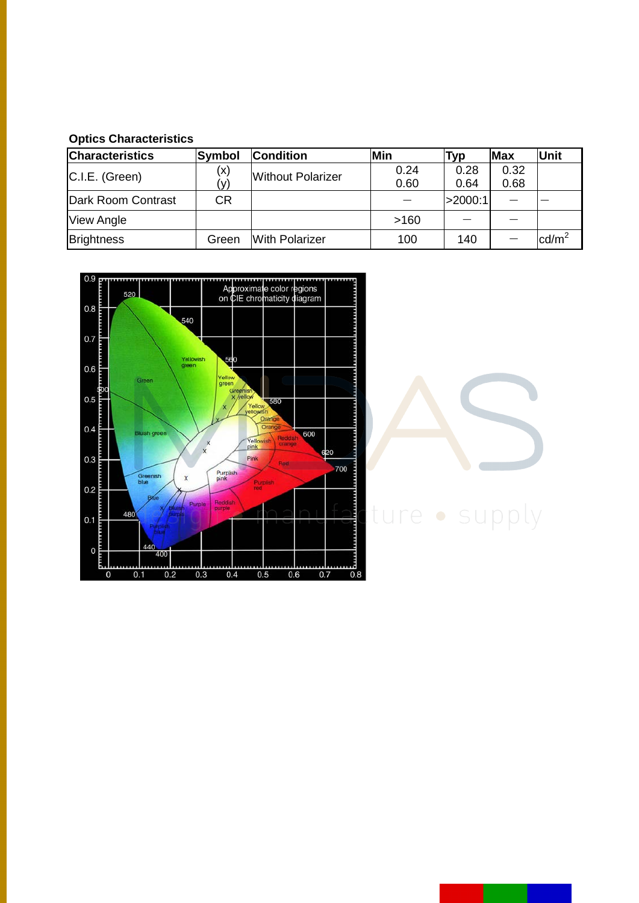#### **Optics Characteristics**

| <b>Characteristics</b> | <b>Symbol</b> | <b>Condition</b>         | Min  | Typ     | <b>Max</b> | Unit            |
|------------------------|---------------|--------------------------|------|---------|------------|-----------------|
| C.I.E. (Green)         | (x)           | <b>Without Polarizer</b> | 0.24 | 0.28    | 0.32       |                 |
|                        | (v)           |                          | 0.60 | 0.64    | 0.68       |                 |
| Dark Room Contrast     | <b>CR</b>     |                          |      | >2000:1 |            |                 |
| <b>View Angle</b>      |               |                          | >160 |         |            |                 |
| <b>Brightness</b>      | Green         | <b>With Polarizer</b>    | 100  | 140     |            | $\text{cd/m}^2$ |





# ture · supply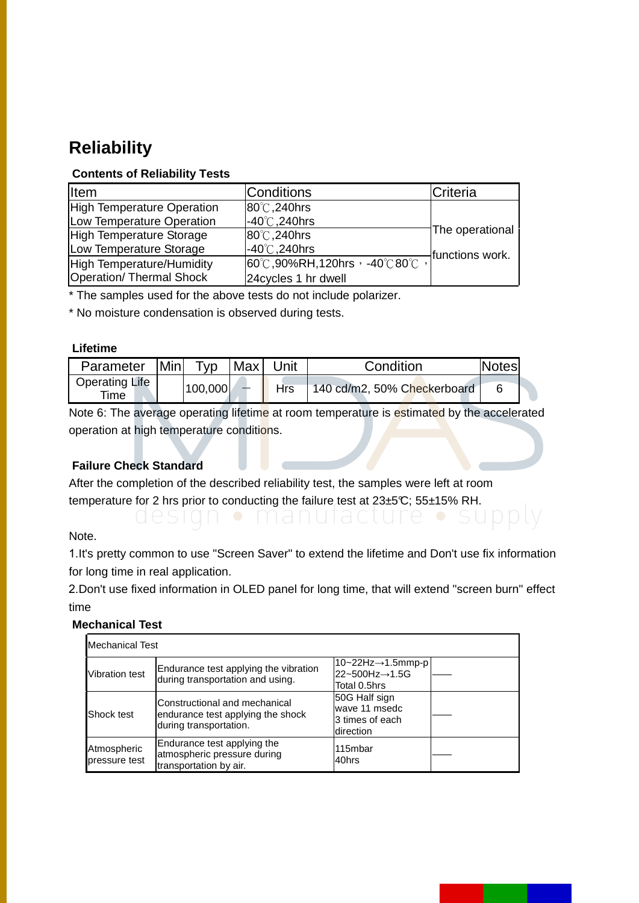### **Reliability**

#### **Contents of Reliability Tests**

| <b>I</b> tem               | <b>Conditions</b>                                      | Criteria        |
|----------------------------|--------------------------------------------------------|-----------------|
| High Temperature Operation | 80°C, 240hrs                                           |                 |
| Low Temperature Operation  | $-40^{\circ}$ C, 240hrs                                |                 |
| High Temperature Storage   | 80°C, 240hrs                                           | The operational |
| Low Temperature Storage    | $-40^{\circ}$ C, 240hrs                                | functions work. |
| High Temperature/Humidity  | $ 60^{\circ}$ C,90%RH,120hrs, -40°C80 $\overline{C}$ , |                 |
| Operation/ Thermal Shock   | 24 cycles 1 hr dwell                                   |                 |

\* The samples used for the above tests do not include polarizer.

\* No moisture condensation is observed during tests.

#### **Lifetime**

| Parameter                     | <b>Minl</b> | $\tau_{VD}$ | Max | Unit | Condition                   | <b>Notes</b> |
|-------------------------------|-------------|-------------|-----|------|-----------------------------|--------------|
| <b>Operating Life</b><br>Time |             | 100,000     |     | Hrs  | 140 cd/m2, 50% Checkerboard |              |

Note 6: The average operating lifetime at room temperature is estimated by the accelerated operation at high temperature conditions.

#### **Failure Check Standard**

After the completion of the described reliability test, the samples were left at room temperature for 2 hrs prior to conducting the failure test at  $23\pm5\degree$ C;  $55\pm15\%$  RH.

Note.

1.It's pretty common to use "Screen Saver" to extend the lifetime and Don't use fix information for long time in real application.

2.Don't use fixed information in OLED panel for long time, that will extend "screen burn" effect time

#### **Mechanical Test**

| <b>Mechanical Test</b>       |                                                                                              |                                                                         |  |  |  |  |
|------------------------------|----------------------------------------------------------------------------------------------|-------------------------------------------------------------------------|--|--|--|--|
| <b>Vibration test</b>        | Endurance test applying the vibration<br>during transportation and using.                    | $ 10-22Hz \rightarrow 1.5$ mmp-p<br>22~500Hz→1.5G<br>Total 0.5hrs       |  |  |  |  |
| Shock test                   | Constructional and mechanical<br>endurance test applying the shock<br>during transportation. | 50G Half sign<br>wave 11 msedc<br>l3 times of each<br><b>Idirection</b> |  |  |  |  |
| Atmospheric<br>pressure test | Endurance test applying the<br>atmospheric pressure during<br>transportation by air.         | 115mbar<br>40hrs                                                        |  |  |  |  |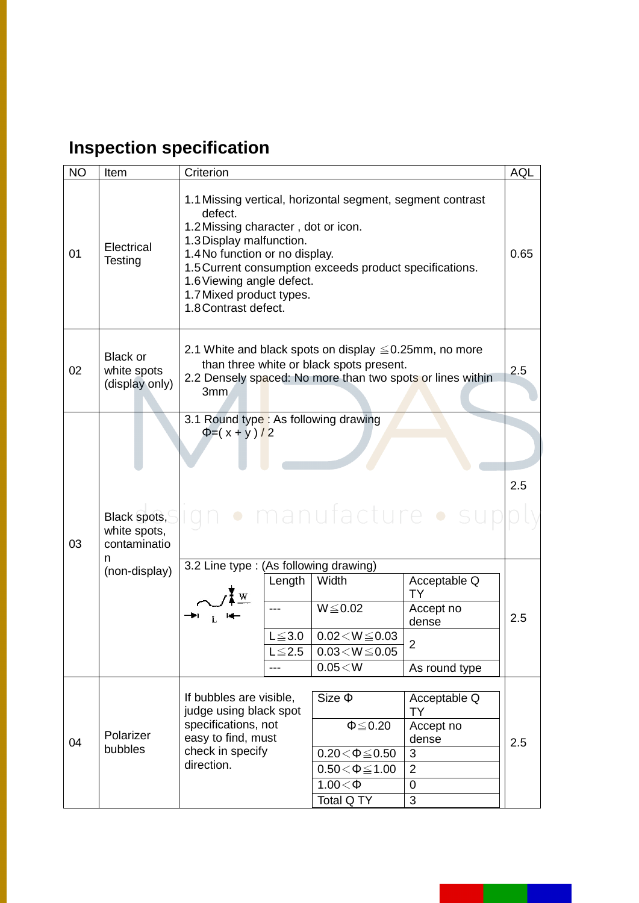## **Inspection specification**

| <b>NO</b> | Item                                                               | Criterion                                                                                                                                                                            |                                                                                                                                                                                                                                                                                     |                                                                             | <b>AQL</b> |  |  |
|-----------|--------------------------------------------------------------------|--------------------------------------------------------------------------------------------------------------------------------------------------------------------------------------|-------------------------------------------------------------------------------------------------------------------------------------------------------------------------------------------------------------------------------------------------------------------------------------|-----------------------------------------------------------------------------|------------|--|--|
| 01        | Electrical<br>Testing                                              | defect.<br>1.8 Contrast defect.                                                                                                                                                      | 1.1 Missing vertical, horizontal segment, segment contrast<br>1.2 Missing character, dot or icon.<br>1.3 Display malfunction.<br>1.4 No function or no display.<br>1.5 Current consumption exceeds product specifications.<br>1.6 Viewing angle defect.<br>1.7 Mixed product types. |                                                                             |            |  |  |
| 02        | <b>Black or</b><br>white spots<br>(display only)                   | 2.1 White and black spots on display $\leq 0.25$ mm, no more<br>than three white or black spots present.<br>2.5<br>2.2 Densely spaced: No more than two spots or lines within<br>3mm |                                                                                                                                                                                                                                                                                     |                                                                             |            |  |  |
| 03        | Black spots,<br>white spots,<br>contaminatio<br>n<br>(non-display) | 3.1 Round type: As following drawing<br>$\Phi = (x + y)/2$<br>3.2 Line type : (As following drawing)<br>Length<br>$L \leq 3.0$<br>$L \leq 2.5$<br>---                                | · manufacture · su<br>Width<br>$W \le 0.02$<br>$0.02 < W \le 0.03$<br>$0.03\!<\!W\!\leq\!0.05$<br>0.05 < W                                                                                                                                                                          | Acceptable Q<br>TY<br>Accept no<br>dense<br>$\overline{2}$<br>As round type | 2.5<br>2.5 |  |  |
| 04        | Polarizer<br>bubbles                                               | If bubbles are visible,<br>judge using black spot<br>specifications, not<br>easy to find, must<br>check in specify<br>direction.                                                     | $Size \Phi$<br>$\Phi \leq 0.20$<br>$0.20 \le \Phi \le 0.50$<br>$0.50 < \Phi \le 1.00$<br>$1.00<\Phi$<br>Total Q TY                                                                                                                                                                  | Acceptable Q<br>TY<br>Accept no<br>dense<br>3<br>$\overline{2}$<br>0<br>3   | 2.5        |  |  |

I.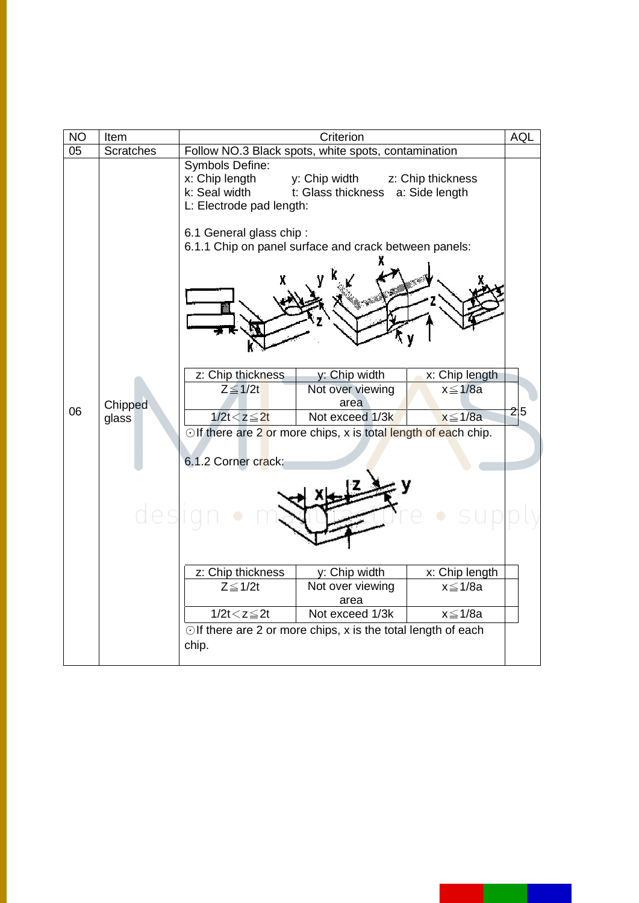| <b>NO</b> | Item             | Criterion                                                                                                 |                                                              |                                                  | <b>AQL</b> |
|-----------|------------------|-----------------------------------------------------------------------------------------------------------|--------------------------------------------------------------|--------------------------------------------------|------------|
| 05        | <b>Scratches</b> | Follow NO.3 Black spots, white spots, contamination                                                       |                                                              |                                                  |            |
|           |                  | Symbols Define:<br>x: Chip length<br>k: Seal width<br>L: Electrode pad length:<br>6.1 General glass chip: | y: Chip width<br>t: Glass thickness a: Side length           | z: Chip thickness                                |            |
| 06        | Chipped<br>glass | 6.1.1 Chip on panel surface and crack between panels:                                                     |                                                              |                                                  |            |
|           |                  | z: Chip thickness<br>$Z \leq 1/2t$<br>$1/2t < z \leq 2t$                                                  | y: Chip width<br>Not over viewing<br>area<br>Not exceed 1/3k | x: Chip length<br>$x \leq 1/8a$<br>$x \leq 1/8a$ | 2 5        |
|           |                  | Olf there are 2 or more chips, x is total length of each chip.<br>6.1.2 Corner crack:                     |                                                              |                                                  |            |
|           | uea              |                                                                                                           |                                                              |                                                  |            |
|           |                  | z: Chip thickness                                                                                         | y: Chip width                                                | x: Chip length                                   |            |
|           |                  | $Z \leq 1/2t$                                                                                             | Not over viewing<br>area                                     | $x \leq 1/8a$                                    |            |
|           |                  | $1/2t < z \leq 2t$                                                                                        | Not exceed 1/3k                                              | $x \leq 1/8a$                                    |            |
|           |                  | $\odot$ If there are 2 or more chips, x is the total length of each<br>chip.                              |                                                              |                                                  |            |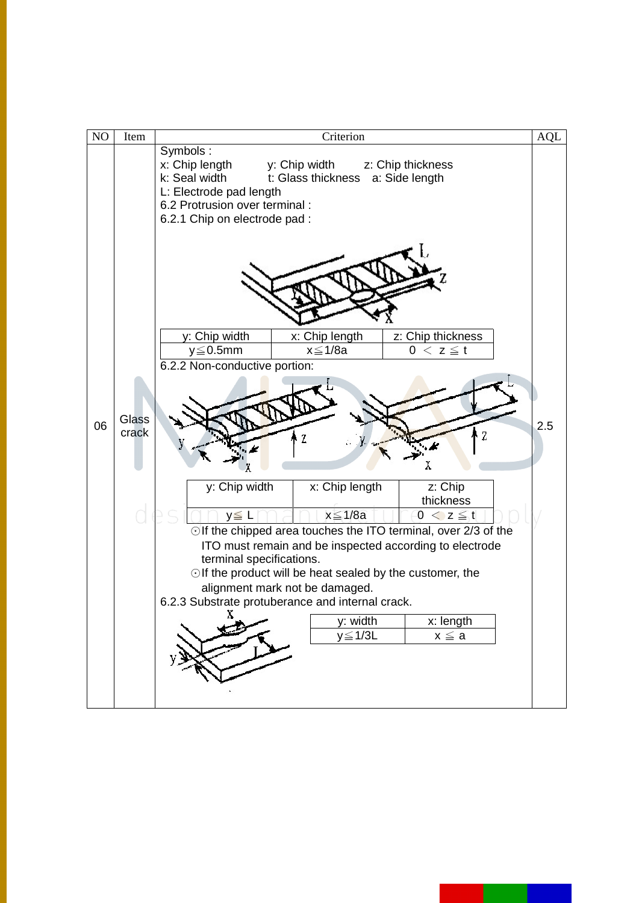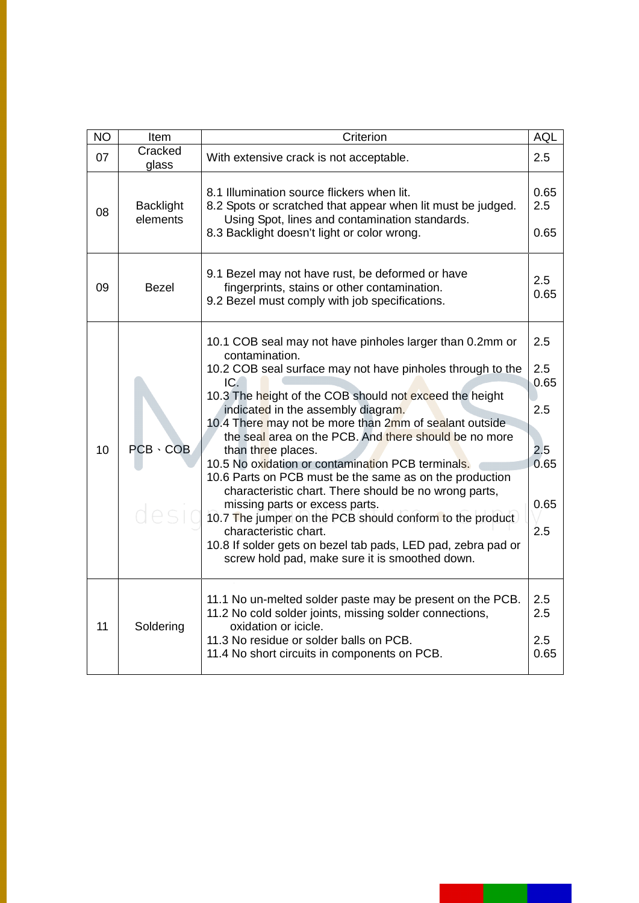| <b>NO</b> | Item                         | Criterion                                                                                                                                                                                                                                                                                                                                                                                                                                                                                                                                                                                                                                                                                                                                                                                                   |                                                         |
|-----------|------------------------------|-------------------------------------------------------------------------------------------------------------------------------------------------------------------------------------------------------------------------------------------------------------------------------------------------------------------------------------------------------------------------------------------------------------------------------------------------------------------------------------------------------------------------------------------------------------------------------------------------------------------------------------------------------------------------------------------------------------------------------------------------------------------------------------------------------------|---------------------------------------------------------|
| 07        | Cracked<br>glass             | With extensive crack is not acceptable.                                                                                                                                                                                                                                                                                                                                                                                                                                                                                                                                                                                                                                                                                                                                                                     |                                                         |
| 08        | <b>Backlight</b><br>elements | 8.1 Illumination source flickers when lit.<br>8.2 Spots or scratched that appear when lit must be judged.<br>Using Spot, lines and contamination standards.<br>8.3 Backlight doesn't light or color wrong.                                                                                                                                                                                                                                                                                                                                                                                                                                                                                                                                                                                                  | 0.65<br>2.5<br>0.65                                     |
| 09        | Bezel                        | 9.1 Bezel may not have rust, be deformed or have<br>fingerprints, stains or other contamination.<br>9.2 Bezel must comply with job specifications.                                                                                                                                                                                                                                                                                                                                                                                                                                                                                                                                                                                                                                                          | 2.5<br>0.65                                             |
| 10        | $PCB \cdot COB$<br>desi      | 10.1 COB seal may not have pinholes larger than 0.2mm or<br>contamination.<br>10.2 COB seal surface may not have pinholes through to the<br>IC.<br>10.3 The height of the COB should not exceed the height<br>indicated in the assembly diagram.<br>10.4 There may not be more than 2mm of sealant outside<br>the seal area on the PCB. And there should be no more<br>than three places.<br>10.5 No oxidation or contamination PCB terminals.<br>10.6 Parts on PCB must be the same as on the production<br>characteristic chart. There should be no wrong parts,<br>missing parts or excess parts.<br>10.7 The jumper on the PCB should conform to the product<br>characteristic chart.<br>10.8 If solder gets on bezel tab pads, LED pad, zebra pad or<br>screw hold pad, make sure it is smoothed down. | 2.5<br>2.5<br>0.65<br>2.5<br>2.5<br>0.65<br>0.65<br>2.5 |
| 11        | Soldering                    | 11.1 No un-melted solder paste may be present on the PCB.<br>11.2 No cold solder joints, missing solder connections,<br>oxidation or icicle.<br>11.3 No residue or solder balls on PCB.<br>11.4 No short circuits in components on PCB.                                                                                                                                                                                                                                                                                                                                                                                                                                                                                                                                                                     | 2.5<br>2.5<br>2.5<br>0.65                               |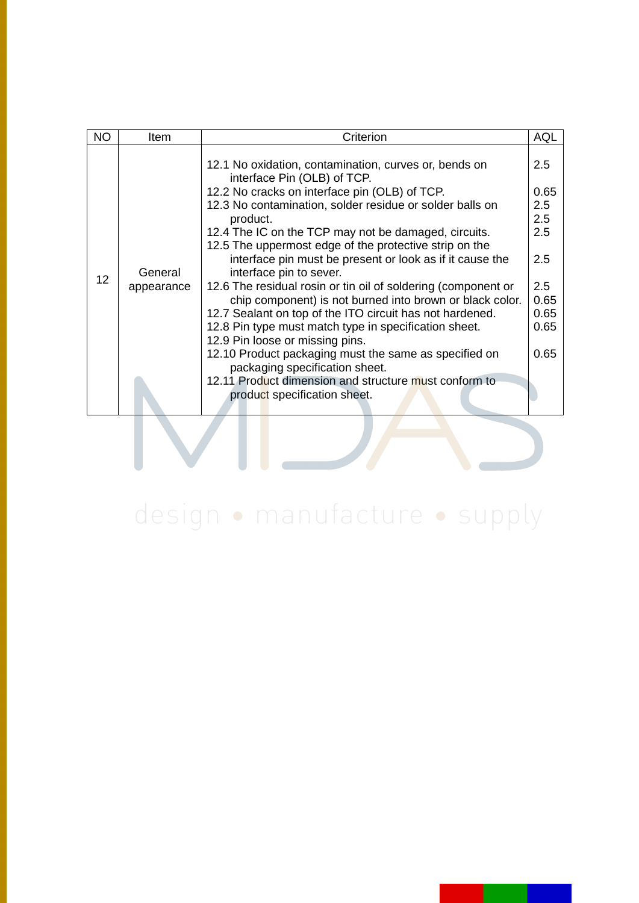| NO | ltem                  | Criterion                                                                                                                                     | AQL         |
|----|-----------------------|-----------------------------------------------------------------------------------------------------------------------------------------------|-------------|
|    |                       | 12.1 No oxidation, contamination, curves or, bends on<br>interface Pin (OLB) of TCP.<br>12.2 No cracks on interface pin (OLB) of TCP.         | 2.5<br>0.65 |
| 12 | General<br>appearance | 12.3 No contamination, solder residue or solder balls on                                                                                      | 2.5         |
|    |                       | product.                                                                                                                                      |             |
|    |                       | 12.4 The IC on the TCP may not be damaged, circuits.                                                                                          | 2.5         |
|    |                       | 12.5 The uppermost edge of the protective strip on the<br>interface pin must be present or look as if it cause the<br>interface pin to sever. | 2.5         |
|    |                       | 12.6 The residual rosin or tin oil of soldering (component or<br>chip component) is not burned into brown or black color.                     | 2.5<br>0.65 |
|    |                       | 12.7 Sealant on top of the ITO circuit has not hardened.                                                                                      | 0.65        |
|    |                       | 12.8 Pin type must match type in specification sheet.                                                                                         | 0.65        |
|    |                       | 12.9 Pin loose or missing pins.                                                                                                               |             |
|    |                       | 12.10 Product packaging must the same as specified on<br>packaging specification sheet.                                                       | 0.65        |
|    |                       | 12.11 Product dimension and structure must conform to<br>product specification sheet.                                                         |             |
|    |                       |                                                                                                                                               |             |

# design · manufacture · supply

V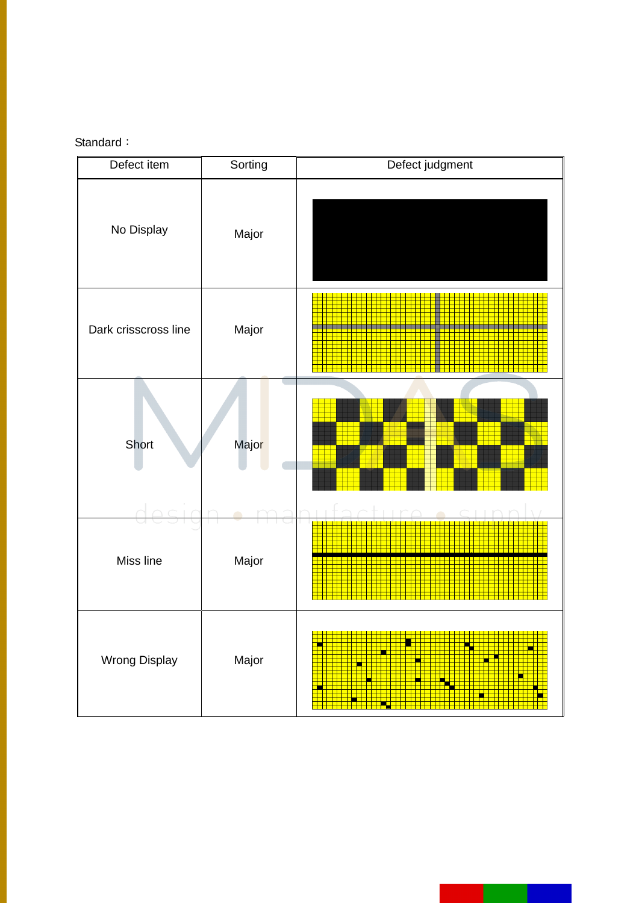#### Standard:

| Defect item          | Sorting             | Defect judgment |  |
|----------------------|---------------------|-----------------|--|
| No Display           | Major               |                 |  |
| Dark crisscross line | Major               |                 |  |
| Short                | Majo <mark>r</mark> |                 |  |
| Miss line            | Major               |                 |  |
| <b>Wrong Display</b> | Major               |                 |  |

н